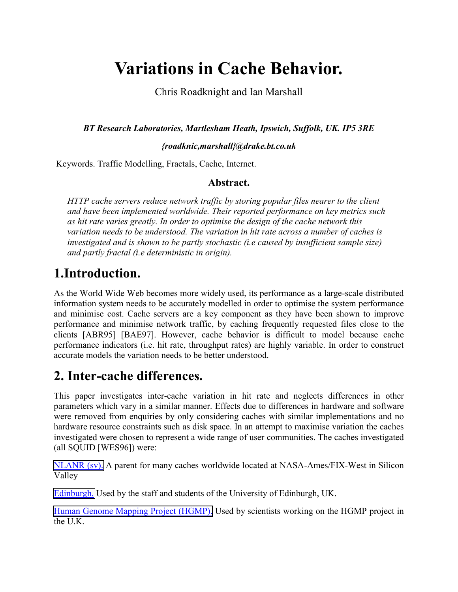# **Variations in Cache Behavior.**

Chris Roadknight and Ian Marshall

*BT Research Laboratories, Martlesham Heath, Ipswich, Suffolk, UK. IP5 3RE*

*{roadknic,marshall}@drake.bt.co.uk*

Keywords. Traffic Modelling, Fractals, Cache, Internet.

#### **Abstract.**

*HTTP cache servers reduce network traffic by storing popular files nearer to the client and have been implemented worldwide. Their reported performance on key metrics such as hit rate varies greatly. In order to optimise the design of the cache network this variation needs to be understood. The variation in hit rate across a number of caches is investigated and is shown to be partly stochastic (i.e caused by insufficient sample size) and partly fractal (i.e deterministic in origin).*

#### **1.Introduction.**

As the World Wide Web becomes more widely used, its performance as a large-scale distributed information system needs to be accurately modelled in order to optimise the system performance and minimise cost. Cache servers are a key component as they have been shown to improve performance and minimise network traffic, by caching frequently requested files close to the clients [ABR95] [BAE97]. However, cache behavior is difficult to model because cache performance indicators (i.e. hit rate, throughput rates) are highly variable. In order to construct accurate models the variation needs to be better understood.

### **2. Inter-cache differences.**

This paper investigates inter-cache variation in hit rate and neglects differences in other parameters which vary in a similar manner. Effects due to differences in hardware and software were removed from enquiries by only considering caches with similar implementations and no hardware resource constraints such as disk space. In an attempt to maximise variation the caches investigated were chosen to represent a wide range of user communities. The caches investigated (all SQUID [WES96]) were:

[NLANR \(sv\).](http://ircache.nlanr.net/cache/) A parent for many caches worldwide located at NASA-Ames/FIX-West in Silicon Valley

[Edinburgh.](http://sc4001.ucs.ed.ac.uk/) Used by the staff and students of the University of Edinburgh, UK.

[Human Genome Mapping Project \(HGMP\).](http://wwwcache.hgmp.mrc.ac.uk/) Used by scientists working on the HGMP project in the U.K.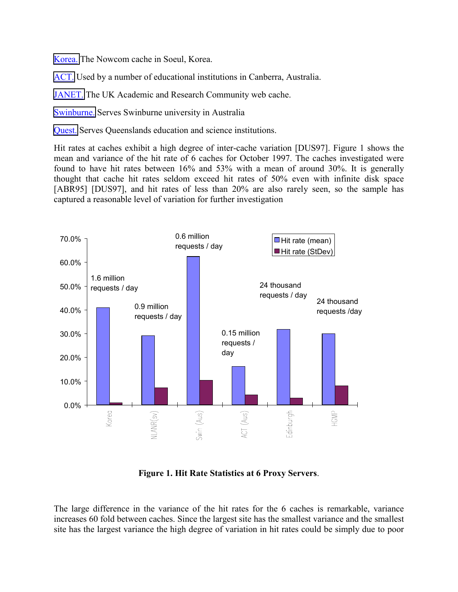[Korea.](http://proxy.nownuri.net/) The Nowcom cache in Soeul, Korea.

[ACT.](http://www.carno.net.au/cache) Used by a number of educational institutions in Canberra, Australia.

[JANET.](http://wwwcache.ja.net/) The UK Academic and Research Community web cache.

[Swinburne.](http://swin.edu.au/proxy) Serves Swinburne university in Australia

[Quest.](http://www.questnet.net.au/proxystats) Serves Queenslands education and science institutions.

Hit rates at caches exhibit a high degree of inter-cache variation [DUS97]. Figure 1 shows the mean and variance of the hit rate of 6 caches for October 1997. The caches investigated were found to have hit rates between 16% and 53% with a mean of around 30%. It is generally thought that cache hit rates seldom exceed hit rates of 50% even with infinite disk space [ABR95] [DUS97], and hit rates of less than 20% are also rarely seen, so the sample has captured a reasonable level of variation for further investigation



**Figure 1. Hit Rate Statistics at 6 Proxy Servers**.

The large difference in the variance of the hit rates for the 6 caches is remarkable, variance increases 60 fold between caches. Since the largest site has the smallest variance and the smallest site has the largest variance the high degree of variation in hit rates could be simply due to poor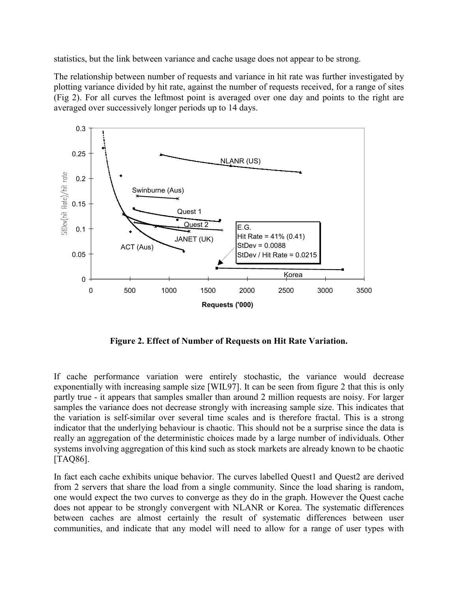statistics, but the link between variance and cache usage does not appear to be strong.

The relationship between number of requests and variance in hit rate was further investigated by plotting variance divided by hit rate, against the number of requests received, for a range of sites (Fig 2). For all curves the leftmost point is averaged over one day and points to the right are averaged over successively longer periods up to 14 days.



**Figure 2. Effect of Number of Requests on Hit Rate Variation.**

If cache performance variation were entirely stochastic, the variance would decrease exponentially with increasing sample size [WIL97]. It can be seen from figure 2 that this is only partly true - it appears that samples smaller than around 2 million requests are noisy. For larger samples the variance does not decrease strongly with increasing sample size. This indicates that the variation is self-similar over several time scales and is therefore fractal. This is a strong indicator that the underlying behaviour is chaotic. This should not be a surprise since the data is really an aggregation of the deterministic choices made by a large number of individuals. Other systems involving aggregation of this kind such as stock markets are already known to be chaotic [TAQ86].

In fact each cache exhibits unique behavior. The curves labelled Quest1 and Quest2 are derived from 2 servers that share the load from a single community. Since the load sharing is random, one would expect the two curves to converge as they do in the graph. However the Quest cache does not appear to be strongly convergent with NLANR or Korea. The systematic differences between caches are almost certainly the result of systematic differences between user communities, and indicate that any model will need to allow for a range of user types with